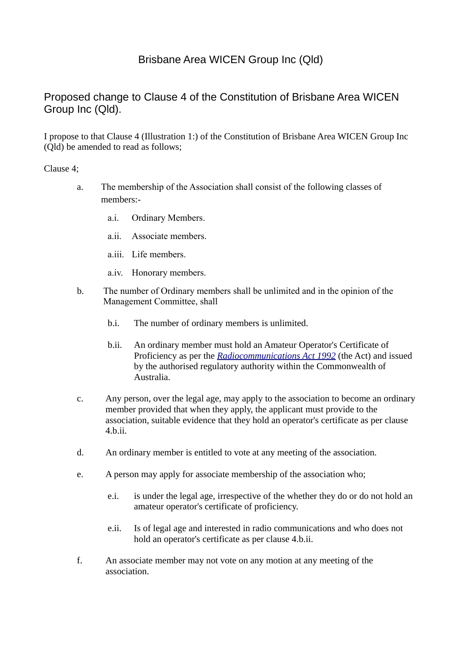# Brisbane Area WICEN Group Inc (Qld)

# Proposed change to Clause 4 of the Constitution of Brisbane Area WICEN Group Inc (Qld).

I propose to that Clause 4 (Illustration 1:) of the Constitution of Brisbane Area WICEN Group Inc (Qld) be amended to read as follows;

### Clause 4;

- a. The membership of the Association shall consist of the following classes of members:
	- a.i. Ordinary Members.
	- a.ii. Associate members.
	- a.iii. Life members.
	- a.iv. Honorary members.
- b. The number of Ordinary members shall be unlimited and in the opinion of the Management Committee, shall
	- b.i. The number of ordinary members is unlimited.
	- b.ii. An ordinary member must hold an Amateur Operator's Certificate of Proficiency as per the *[Radiocommunications Act 1992](http://www.comlaw.gov.au/Details/C2011C00072)* (the Act) and issued by the authorised regulatory authority within the Commonwealth of Australia.
- c. Any person, over the legal age, may apply to the association to become an ordinary member provided that when they apply, the applicant must provide to the association, suitable evidence that they hold an operator's certificate as per clause 4.b.ii.
- d. An ordinary member is entitled to vote at any meeting of the association.
- e. A person may apply for associate membership of the association who;
	- e.i. is under the legal age, irrespective of the whether they do or do not hold an amateur operator's certificate of proficiency.
	- e.ii. Is of legal age and interested in radio communications and who does not hold an operator's certificate as per clause 4.b.ii.
- f. An associate member may not vote on any motion at any meeting of the association.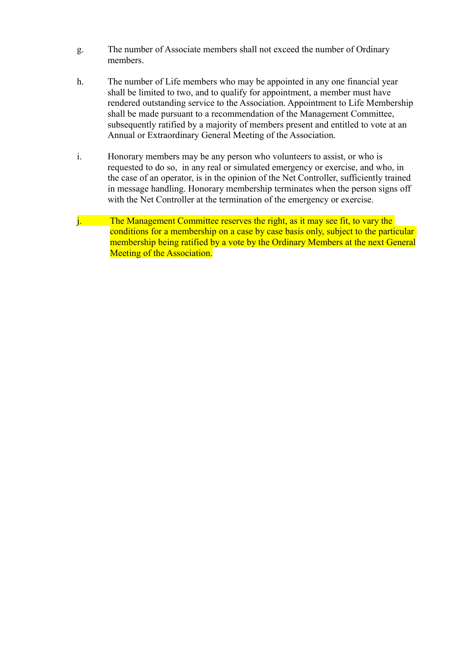- g. The number of Associate members shall not exceed the number of Ordinary members.
- h. The number of Life members who may be appointed in any one financial year shall be limited to two, and to qualify for appointment, a member must have rendered outstanding service to the Association. Appointment to Life Membership shall be made pursuant to a recommendation of the Management Committee, subsequently ratified by a majority of members present and entitled to vote at an Annual or Extraordinary General Meeting of the Association.
- i. Honorary members may be any person who volunteers to assist, or who is requested to do so, in any real or simulated emergency or exercise, and who, in the case of an operator, is in the opinion of the Net Controller, sufficiently trained in message handling. Honorary membership terminates when the person signs off with the Net Controller at the termination of the emergency or exercise.
- j. The Management Committee reserves the right, as it may see fit, to vary the conditions for a membership on a case by case basis only, subject to the particular membership being ratified by a vote by the Ordinary Members at the next General Meeting of the Association.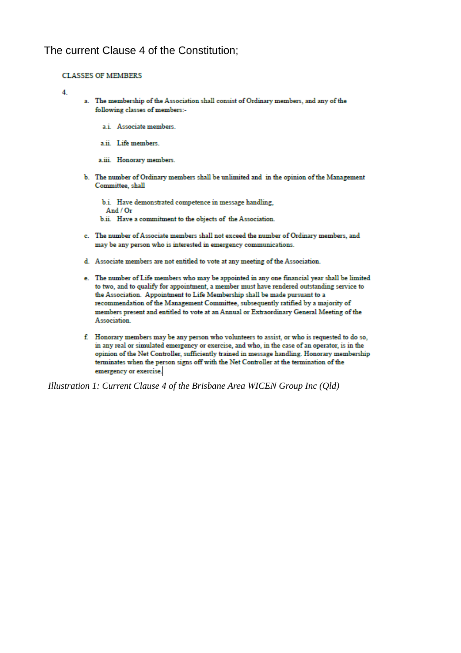## The current Clause 4 of the Constitution;

#### **CLASSES OF MEMBERS**

 $\overline{\mathbf{A}}$ 

- a. The membership of the Association shall consist of Ordinary members, and any of the following classes of members:
	- a.i. Associate members.
	- a ii. Life members.

Association.

- a.iii. Honorary members.
- b. The number of Ordinary members shall be unlimited and in the opinion of the Management Committee, shall
	- b.i. Have demonstrated competence in message handling, And  $/$  Or b.ii. Have a commitment to the objects of the Association.
- c. The number of Associate members shall not exceed the number of Ordinary members, and may be any person who is interested in emergency communications.
- d. Associate members are not entitled to vote at any meeting of the Association.
- e. The number of Life members who may be appointed in any one financial year shall be limited to two, and to qualify for appointment, a member must have rendered outstanding service to the Association. Appointment to Life Membership shall be made pursuant to a recommendation of the Management Committee, subsequently ratified by a majority of members present and entitled to vote at an Annual or Extraordinary General Meeting of the
- f. Honorary members may be any person who volunteers to assist, or who is requested to do so, in any real or simulated emergency or exercise, and who, in the case of an operator, is in the opinion of the Net Controller, sufficiently trained in message handling. Honorary membership terminates when the person signs off with the Net Controller at the termination of the emergency or exercise.

Illustration 1: Current Clause 4 of the Brisbane Area WICEN Group Inc (Qld)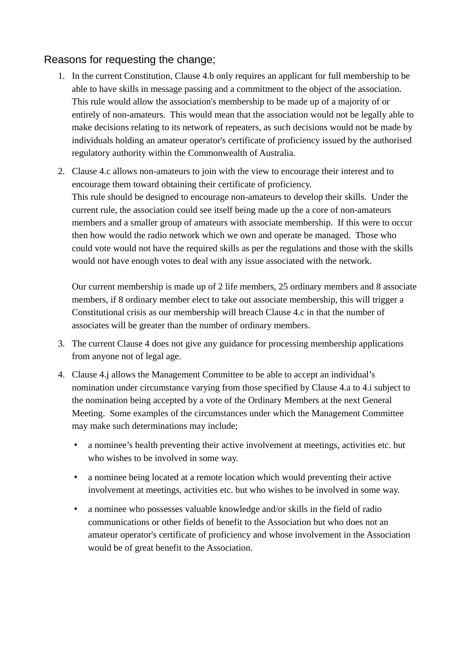# Reasons for requesting the change;

- 1. In the current Constitution, Clause 4.b only requires an applicant for full membership to be able to have skills in message passing and a commitment to the object of the association. This rule would allow the association's membership to be made up of a majority of or entirely of non-amateurs. This would mean that the association would not be legally able to make decisions relating to its network of repeaters, as such decisions would not be made by individuals holding an amateur operator's certificate of proficiency issued by the authorised regulatory authority within the Commonwealth of Australia.
- 2. Clause 4.c allows non-amateurs to join with the view to encourage their interest and to encourage them toward obtaining their certificate of proficiency. This rule should be designed to encourage non-amateurs to develop their skills. Under the current rule, the association could see itself being made up the a core of non-amateurs members and a smaller group of amateurs with associate membership. If this were to occur then how would the radio network which we own and operate be managed. Those who could vote would not have the required skills as per the regulations and those with the skills would not have enough votes to deal with any issue associated with the network.

Our current membership is made up of 2 life members, 25 ordinary members and 8 associate members, if 8 ordinary member elect to take out associate membership, this will trigger a Constitutional crisis as our membership will breach Clause 4.c in that the number of associates will be greater than the number of ordinary members.

- 3. The current Clause 4 does not give any guidance for processing membership applications from anyone not of legal age.
- 4. Clause 4.j allows the Management Committee to be able to accept an individual's nomination under circumstance varying from those specified by Clause 4.a to 4.i subject to the nomination being accepted by a vote of the Ordinary Members at the next General Meeting. Some examples of the circumstances under which the Management Committee may make such determinations may include;
	- a nominee's health preventing their active involvement at meetings, activities etc. but who wishes to be involved in some way.
	- a nominee being located at a remote location which would preventing their active involvement at meetings, activities etc. but who wishes to be involved in some way.
	- a nominee who possesses valuable knowledge and/or skills in the field of radio communications or other fields of benefit to the Association but who does not an amateur operator's certificate of proficiency and whose involvement in the Association would be of great benefit to the Association.